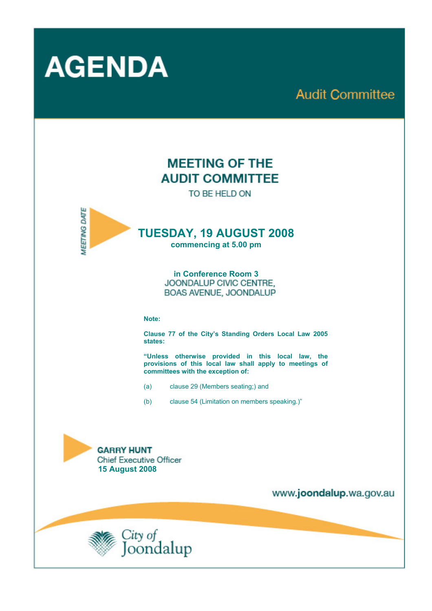

# **Audit Committee**

# **MEETING OF THE AUDIT COMMITTEE**

TO BE HELD ON



## **TUESDAY, 19 AUGUST 2008**

**commencing at 5.00 pm** 

**in Conference Room 3**  BOAS AVENUE, JOONDALUP

#### **Note:**

**Clause 77 of the City's Standing Orders Local Law 2005 states:** 

**"Unless otherwise provided in this local law, the provisions of this local law shall apply to meetings of committees with the exception of:** 

- (a) clause 29 (Members seating;) and
- (b) clause 54 (Limitation on members speaking.)"





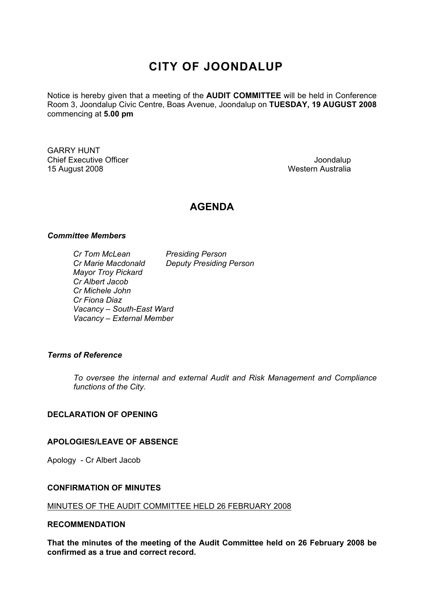# **CITY OF JOONDALUP**

Notice is hereby given that a meeting of the **AUDIT COMMITTEE** will be held in Conference Room 3, Joondalup Civic Centre, Boas Avenue, Joondalup on **TUESDAY, 19 AUGUST 2008**  commencing at **5.00 pm** 

GARRY HUNT Chief Executive Officer  $\Box$  Joondalup Joondalup 15 August 2008 Western Australia

### **AGENDA**

#### *Committee Members*

| Cr Tom McLean             | <b>Presiding Person</b>        |
|---------------------------|--------------------------------|
| Cr Marie Macdonald        | <b>Deputy Presiding Person</b> |
| <b>Mayor Troy Pickard</b> |                                |
| Cr Albert Jacob           |                                |
| Cr Michele John           |                                |
| Cr Fiona Diaz             |                                |
| Vacancy - South-East Ward |                                |
| Vacancy - External Member |                                |

#### *Terms of Reference*

*To oversee the internal and external Audit and Risk Management and Compliance functions of the City.* 

#### **DECLARATION OF OPENING**

#### **APOLOGIES/LEAVE OF ABSENCE**

Apology - Cr Albert Jacob

#### **CONFIRMATION OF MINUTES**

#### MINUTES OF THE AUDIT COMMITTEE HELD 26 FEBRUARY 2008

#### **RECOMMENDATION**

**That the minutes of the meeting of the Audit Committee held on 26 February 2008 be confirmed as a true and correct record.**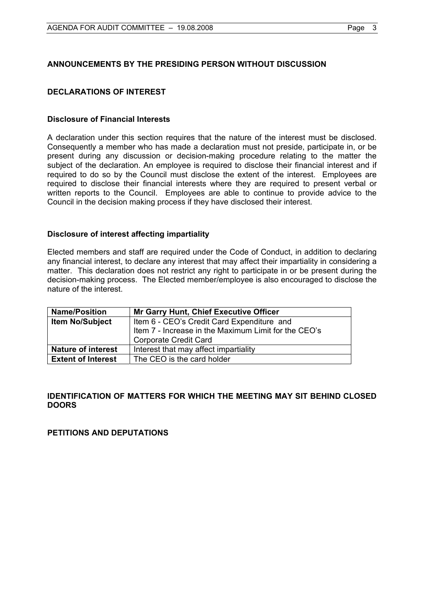#### **ANNOUNCEMENTS BY THE PRESIDING PERSON WITHOUT DISCUSSION**

#### **DECLARATIONS OF INTEREST**

#### **Disclosure of Financial Interests**

A declaration under this section requires that the nature of the interest must be disclosed. Consequently a member who has made a declaration must not preside, participate in, or be present during any discussion or decision-making procedure relating to the matter the subject of the declaration. An employee is required to disclose their financial interest and if required to do so by the Council must disclose the extent of the interest. Employees are required to disclose their financial interests where they are required to present verbal or written reports to the Council. Employees are able to continue to provide advice to the Council in the decision making process if they have disclosed their interest.

#### **Disclosure of interest affecting impartiality**

Elected members and staff are required under the Code of Conduct, in addition to declaring any financial interest, to declare any interest that may affect their impartiality in considering a matter. This declaration does not restrict any right to participate in or be present during the decision-making process. The Elected member/employee is also encouraged to disclose the nature of the interest.

| <b>Name/Position</b>      | <b>Mr Garry Hunt, Chief Executive Officer</b>        |
|---------------------------|------------------------------------------------------|
| <b>Item No/Subject</b>    | Item 6 - CEO's Credit Card Expenditure and           |
|                           | Item 7 - Increase in the Maximum Limit for the CEO's |
|                           | <b>Corporate Credit Card</b>                         |
| <b>Nature of interest</b> | Interest that may affect impartiality                |
| <b>Extent of Interest</b> | The CEO is the card holder                           |

#### **IDENTIFICATION OF MATTERS FOR WHICH THE MEETING MAY SIT BEHIND CLOSED DOORS**

#### **PETITIONS AND DEPUTATIONS**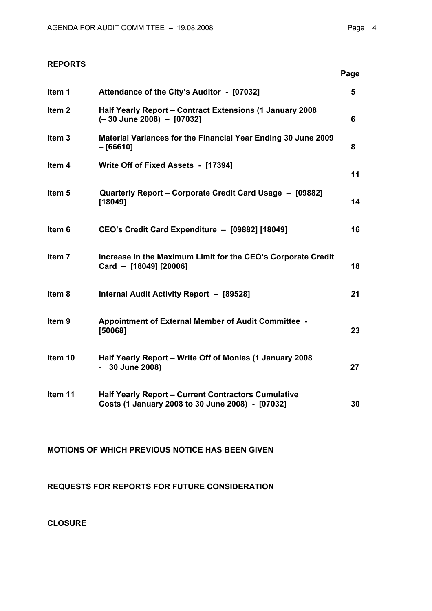**Page** 

#### **REPORTS**

| Attendance of the City's Auditor - [07032]                                                                     | 5  |
|----------------------------------------------------------------------------------------------------------------|----|
| Half Yearly Report - Contract Extensions (1 January 2008<br>(-30 June 2008) - [07032]                          | 6  |
| Material Variances for the Financial Year Ending 30 June 2009<br>$-[66610]$                                    | 8  |
| Write Off of Fixed Assets - [17394]                                                                            | 11 |
| Quarterly Report – Corporate Credit Card Usage – [09882]<br>[18049]                                            | 14 |
| CEO's Credit Card Expenditure - [09882] [18049]                                                                | 16 |
| Increase in the Maximum Limit for the CEO's Corporate Credit<br>Card - [18049] [20006]                         | 18 |
| Internal Audit Activity Report - [89528]                                                                       | 21 |
| Appointment of External Member of Audit Committee -<br>[50068]                                                 | 23 |
| Half Yearly Report - Write Off of Monies (1 January 2008<br>30 June 2008)                                      | 27 |
| <b>Half Yearly Report - Current Contractors Cumulative</b><br>Costs (1 January 2008 to 30 June 2008) - [07032] | 30 |
|                                                                                                                |    |

### **MOTIONS OF WHICH PREVIOUS NOTICE HAS BEEN GIVEN**

**REQUESTS FOR REPORTS FOR FUTURE CONSIDERATION** 

**CLOSURE**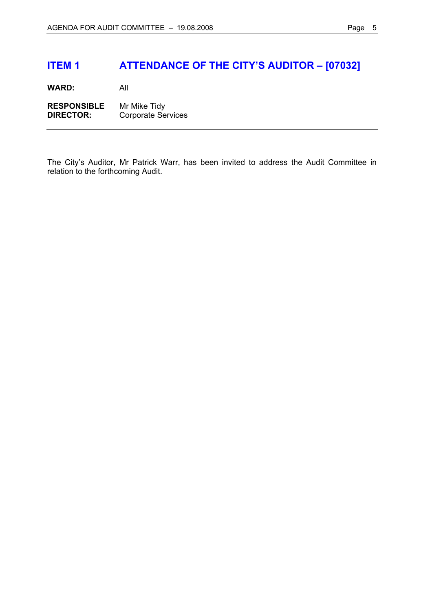## **ITEM 1 ATTENDANCE OF THE CITY'S AUDITOR – [07032]**

**WARD:** All

**RESPONSIBLE** Mr Mike Tidy **DIRECTOR:** Corporate Services

The City's Auditor, Mr Patrick Warr, has been invited to address the Audit Committee in relation to the forthcoming Audit.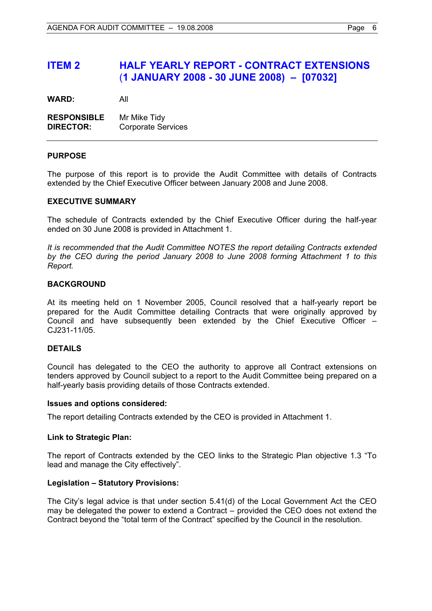### **ITEM 2 HALF YEARLY REPORT - CONTRACT EXTENSIONS**  (**1 JANUARY 2008 - 30 JUNE 2008) – [07032]**

**WARD:** All

| <b>RESPONSIBLE</b> | Mr Mike Tidy              |
|--------------------|---------------------------|
| <b>DIRECTOR:</b>   | <b>Corporate Services</b> |

#### **PURPOSE**

The purpose of this report is to provide the Audit Committee with details of Contracts extended by the Chief Executive Officer between January 2008 and June 2008.

#### **EXECUTIVE SUMMARY**

The schedule of Contracts extended by the Chief Executive Officer during the half-year ended on 30 June 2008 is provided in Attachment 1.

*It is recommended that the Audit Committee NOTES the report detailing Contracts extended by the CEO during the period January 2008 to June 2008 forming Attachment 1 to this Report.*

#### **BACKGROUND**

At its meeting held on 1 November 2005, Council resolved that a half-yearly report be prepared for the Audit Committee detailing Contracts that were originally approved by Council and have subsequently been extended by the Chief Executive Officer – CJ231-11/05.

#### **DETAILS**

Council has delegated to the CEO the authority to approve all Contract extensions on tenders approved by Council subject to a report to the Audit Committee being prepared on a half-yearly basis providing details of those Contracts extended.

#### **Issues and options considered:**

The report detailing Contracts extended by the CEO is provided in Attachment 1.

#### **Link to Strategic Plan:**

The report of Contracts extended by the CEO links to the Strategic Plan objective 1.3 "To lead and manage the City effectively".

#### **Legislation – Statutory Provisions:**

The City's legal advice is that under section 5.41(d) of the Local Government Act the CEO may be delegated the power to extend a Contract – provided the CEO does not extend the Contract beyond the "total term of the Contract" specified by the Council in the resolution.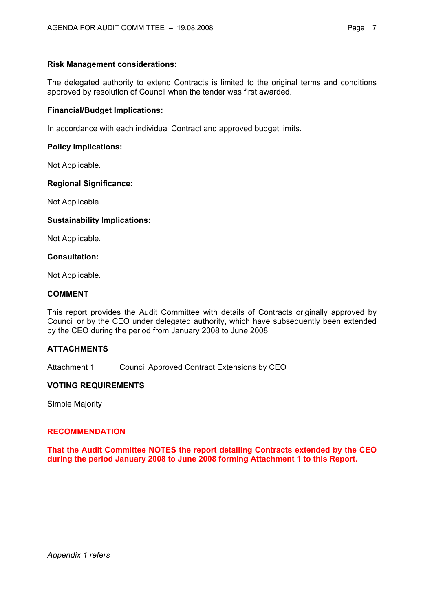#### **Risk Management considerations:**

The delegated authority to extend Contracts is limited to the original terms and conditions approved by resolution of Council when the tender was first awarded.

#### **Financial/Budget Implications:**

In accordance with each individual Contract and approved budget limits.

#### **Policy Implications:**

Not Applicable.

#### **Regional Significance:**

Not Applicable.

#### **Sustainability Implications:**

Not Applicable.

#### **Consultation:**

Not Applicable.

#### **COMMENT**

This report provides the Audit Committee with details of Contracts originally approved by Council or by the CEO under delegated authority, which have subsequently been extended by the CEO during the period from January 2008 to June 2008.

#### **ATTACHMENTS**

Attachment 1 Council Approved Contract Extensions by CEO

#### **VOTING REQUIREMENTS**

Simple Majority

#### **RECOMMENDATION**

**That the Audit Committee NOTES the report detailing Contracts extended by the CEO during the period January 2008 to June 2008 forming Attachment 1 to this Report.**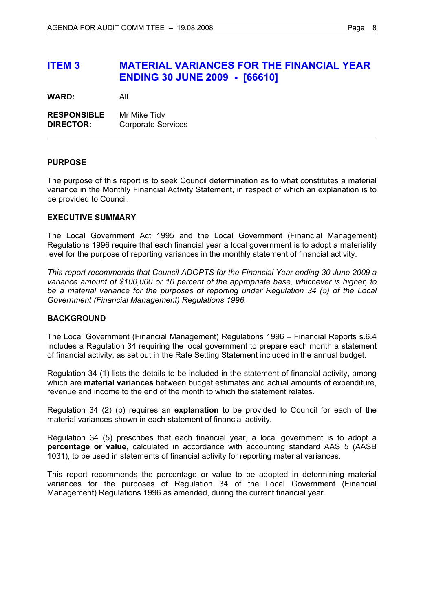### **ITEM 3 MATERIAL VARIANCES FOR THE FINANCIAL YEAR ENDING 30 JUNE 2009 - [66610]**

**WARD:** All

**RESPONSIBLE** Mr Mike Tidy **DIRECTOR:** Corporate Services

#### **PURPOSE**

The purpose of this report is to seek Council determination as to what constitutes a material variance in the Monthly Financial Activity Statement, in respect of which an explanation is to be provided to Council.

#### **EXECUTIVE SUMMARY**

The Local Government Act 1995 and the Local Government (Financial Management) Regulations 1996 require that each financial year a local government is to adopt a materiality level for the purpose of reporting variances in the monthly statement of financial activity.

*This report recommends that Council ADOPTS for the Financial Year ending 30 June 2009 a variance amount of \$100,000 or 10 percent of the appropriate base, whichever is higher, to be a material variance for the purposes of reporting under Regulation 34 (5) of the Local Government (Financial Management) Regulations 1996.* 

#### **BACKGROUND**

The Local Government (Financial Management) Regulations 1996 – Financial Reports s.6.4 includes a Regulation 34 requiring the local government to prepare each month a statement of financial activity, as set out in the Rate Setting Statement included in the annual budget.

Regulation 34 (1) lists the details to be included in the statement of financial activity, among which are **material variances** between budget estimates and actual amounts of expenditure, revenue and income to the end of the month to which the statement relates.

Regulation 34 (2) (b) requires an **explanation** to be provided to Council for each of the material variances shown in each statement of financial activity.

Regulation 34 (5) prescribes that each financial year, a local government is to adopt a **percentage or value**, calculated in accordance with accounting standard AAS 5 (AASB 1031), to be used in statements of financial activity for reporting material variances.

This report recommends the percentage or value to be adopted in determining material variances for the purposes of Regulation 34 of the Local Government (Financial Management) Regulations 1996 as amended, during the current financial year.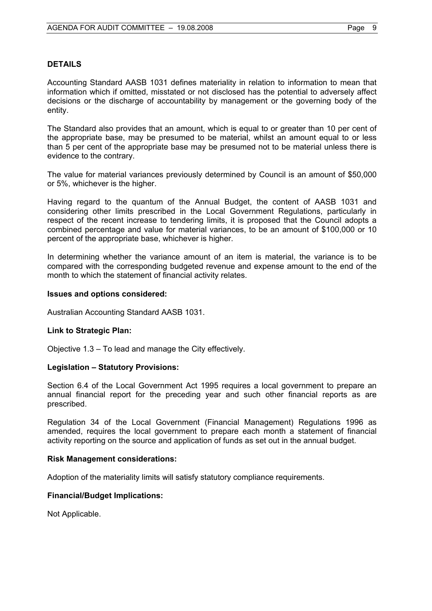#### **DETAILS**

Accounting Standard AASB 1031 defines materiality in relation to information to mean that information which if omitted, misstated or not disclosed has the potential to adversely affect decisions or the discharge of accountability by management or the governing body of the entity.

The Standard also provides that an amount, which is equal to or greater than 10 per cent of the appropriate base, may be presumed to be material, whilst an amount equal to or less than 5 per cent of the appropriate base may be presumed not to be material unless there is evidence to the contrary.

The value for material variances previously determined by Council is an amount of \$50,000 or 5%, whichever is the higher.

Having regard to the quantum of the Annual Budget, the content of AASB 1031 and considering other limits prescribed in the Local Government Regulations, particularly in respect of the recent increase to tendering limits, it is proposed that the Council adopts a combined percentage and value for material variances, to be an amount of \$100,000 or 10 percent of the appropriate base, whichever is higher.

In determining whether the variance amount of an item is material, the variance is to be compared with the corresponding budgeted revenue and expense amount to the end of the month to which the statement of financial activity relates.

#### **Issues and options considered:**

Australian Accounting Standard AASB 1031.

#### **Link to Strategic Plan:**

Objective 1.3 – To lead and manage the City effectively.

#### **Legislation – Statutory Provisions:**

Section 6.4 of the Local Government Act 1995 requires a local government to prepare an annual financial report for the preceding year and such other financial reports as are prescribed.

Regulation 34 of the Local Government (Financial Management) Regulations 1996 as amended, requires the local government to prepare each month a statement of financial activity reporting on the source and application of funds as set out in the annual budget.

#### **Risk Management considerations:**

Adoption of the materiality limits will satisfy statutory compliance requirements.

#### **Financial/Budget Implications:**

Not Applicable.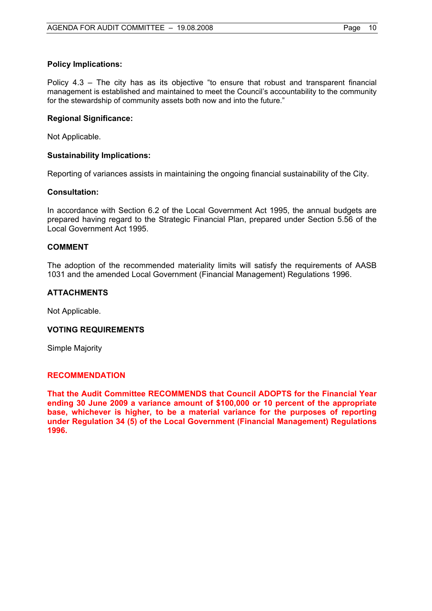#### **Policy Implications:**

Policy 4.3 – The city has as its objective "to ensure that robust and transparent financial management is established and maintained to meet the Council's accountability to the community for the stewardship of community assets both now and into the future."

#### **Regional Significance:**

Not Applicable.

#### **Sustainability Implications:**

Reporting of variances assists in maintaining the ongoing financial sustainability of the City.

#### **Consultation:**

In accordance with Section 6.2 of the Local Government Act 1995, the annual budgets are prepared having regard to the Strategic Financial Plan, prepared under Section 5.56 of the Local Government Act 1995.

#### **COMMENT**

The adoption of the recommended materiality limits will satisfy the requirements of AASB 1031 and the amended Local Government (Financial Management) Regulations 1996.

#### **ATTACHMENTS**

Not Applicable.

#### **VOTING REQUIREMENTS**

Simple Majority

#### **RECOMMENDATION**

**That the Audit Committee RECOMMENDS that Council ADOPTS for the Financial Year ending 30 June 2009 a variance amount of \$100,000 or 10 percent of the appropriate base, whichever is higher, to be a material variance for the purposes of reporting under Regulation 34 (5) of the Local Government (Financial Management) Regulations 1996.**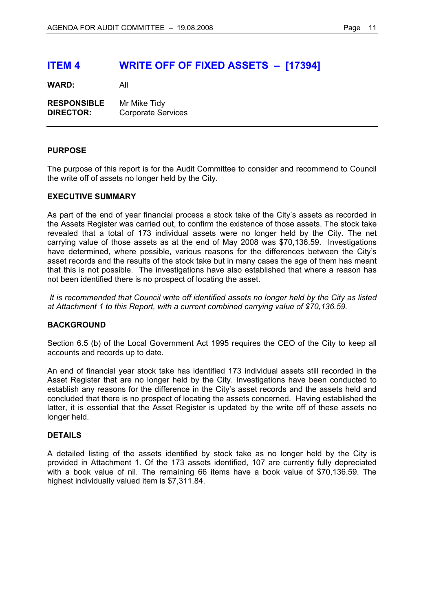### **ITEM 4 WRITE OFF OF FIXED ASSETS – [17394]**

**WARD:** All

| <b>RESPONSIBLE</b> | Mr Mike Tidy              |
|--------------------|---------------------------|
| <b>DIRECTOR:</b>   | <b>Corporate Services</b> |

#### **PURPOSE**

The purpose of this report is for the Audit Committee to consider and recommend to Council the write off of assets no longer held by the City.

#### **EXECUTIVE SUMMARY**

As part of the end of year financial process a stock take of the City's assets as recorded in the Assets Register was carried out, to confirm the existence of those assets. The stock take revealed that a total of 173 individual assets were no longer held by the City. The net carrying value of those assets as at the end of May 2008 was \$70,136.59. Investigations have determined, where possible, various reasons for the differences between the City's asset records and the results of the stock take but in many cases the age of them has meant that this is not possible. The investigations have also established that where a reason has not been identified there is no prospect of locating the asset.

 *It is recommended that Council write off identified assets no longer held by the City as listed at Attachment 1 to this Report, with a current combined carrying value of \$70,136.59.* 

#### **BACKGROUND**

Section 6.5 (b) of the Local Government Act 1995 requires the CEO of the City to keep all accounts and records up to date.

An end of financial year stock take has identified 173 individual assets still recorded in the Asset Register that are no longer held by the City. Investigations have been conducted to establish any reasons for the difference in the City's asset records and the assets held and concluded that there is no prospect of locating the assets concerned. Having established the latter, it is essential that the Asset Register is updated by the write off of these assets no longer held.

#### **DETAILS**

A detailed listing of the assets identified by stock take as no longer held by the City is provided in Attachment 1. Of the 173 assets identified, 107 are currently fully depreciated with a book value of nil. The remaining 66 items have a book value of \$70,136.59. The highest individually valued item is \$7,311.84.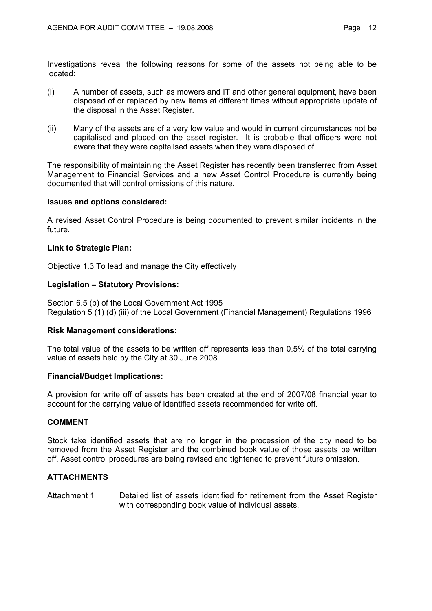Investigations reveal the following reasons for some of the assets not being able to be located:

- (i) A number of assets, such as mowers and IT and other general equipment, have been disposed of or replaced by new items at different times without appropriate update of the disposal in the Asset Register.
- (ii) Many of the assets are of a very low value and would in current circumstances not be capitalised and placed on the asset register. It is probable that officers were not aware that they were capitalised assets when they were disposed of.

The responsibility of maintaining the Asset Register has recently been transferred from Asset Management to Financial Services and a new Asset Control Procedure is currently being documented that will control omissions of this nature.

#### **Issues and options considered:**

A revised Asset Control Procedure is being documented to prevent similar incidents in the future.

#### **Link to Strategic Plan:**

Objective 1.3 To lead and manage the City effectively

#### **Legislation – Statutory Provisions:**

Section 6.5 (b) of the Local Government Act 1995 Regulation 5 (1) (d) (iii) of the Local Government (Financial Management) Regulations 1996

#### **Risk Management considerations:**

The total value of the assets to be written off represents less than 0.5% of the total carrying value of assets held by the City at 30 June 2008.

#### **Financial/Budget Implications:**

A provision for write off of assets has been created at the end of 2007/08 financial year to account for the carrying value of identified assets recommended for write off.

#### **COMMENT**

Stock take identified assets that are no longer in the procession of the city need to be removed from the Asset Register and the combined book value of those assets be written off. Asset control procedures are being revised and tightened to prevent future omission.

#### **ATTACHMENTS**

Attachment 1 Detailed list of assets identified for retirement from the Asset Register with corresponding book value of individual assets.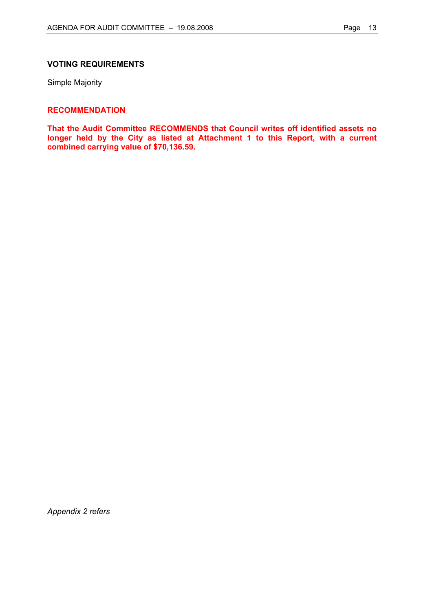#### **VOTING REQUIREMENTS**

Simple Majority

#### **RECOMMENDATION**

**That the Audit Committee RECOMMENDS that Council writes off identified assets no longer held by the City as listed at Attachment 1 to this Report, with a current combined carrying value of \$70,136.59.** 

*Appendix 2 refers*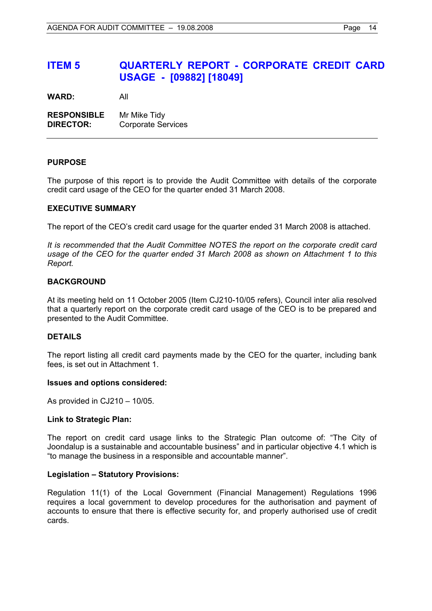### **ITEM 5 QUARTERLY REPORT - CORPORATE CREDIT CARD USAGE - [09882] [18049]**

**WARD:** All

**RESPONSIBLE** Mr Mike Tidy **DIRECTOR:** Corporate Services

#### **PURPOSE**

The purpose of this report is to provide the Audit Committee with details of the corporate credit card usage of the CEO for the quarter ended 31 March 2008.

#### **EXECUTIVE SUMMARY**

The report of the CEO's credit card usage for the quarter ended 31 March 2008 is attached.

*It is recommended that the Audit Committee NOTES the report on the corporate credit card usage of the CEO for the quarter ended 31 March 2008 as shown on Attachment 1 to this Report.*

#### **BACKGROUND**

At its meeting held on 11 October 2005 (Item CJ210-10/05 refers), Council inter alia resolved that a quarterly report on the corporate credit card usage of the CEO is to be prepared and presented to the Audit Committee.

#### **DETAILS**

The report listing all credit card payments made by the CEO for the quarter, including bank fees, is set out in Attachment 1.

#### **Issues and options considered:**

As provided in CJ210 – 10/05.

#### **Link to Strategic Plan:**

The report on credit card usage links to the Strategic Plan outcome of: "The City of Joondalup is a sustainable and accountable business" and in particular objective 4.1 which is "to manage the business in a responsible and accountable manner".

#### **Legislation – Statutory Provisions:**

Regulation 11(1) of the Local Government (Financial Management) Regulations 1996 requires a local government to develop procedures for the authorisation and payment of accounts to ensure that there is effective security for, and properly authorised use of credit cards.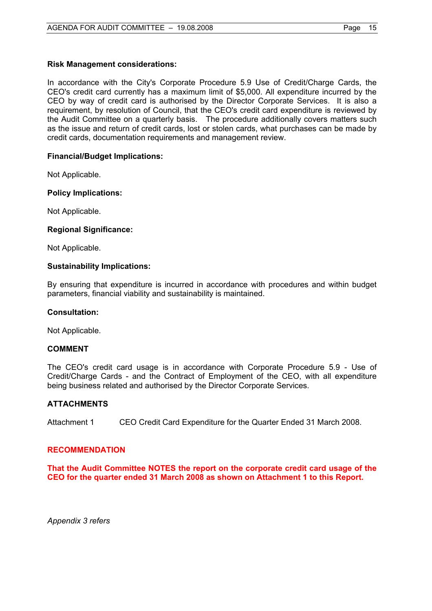#### **Risk Management considerations:**

In accordance with the City's Corporate Procedure 5.9 Use of Credit/Charge Cards, the CEO's credit card currently has a maximum limit of \$5,000. All expenditure incurred by the CEO by way of credit card is authorised by the Director Corporate Services. It is also a requirement, by resolution of Council, that the CEO's credit card expenditure is reviewed by the Audit Committee on a quarterly basis. The procedure additionally covers matters such as the issue and return of credit cards, lost or stolen cards, what purchases can be made by credit cards, documentation requirements and management review.

#### **Financial/Budget Implications:**

Not Applicable.

#### **Policy Implications:**

Not Applicable.

#### **Regional Significance:**

Not Applicable.

#### **Sustainability Implications:**

By ensuring that expenditure is incurred in accordance with procedures and within budget parameters, financial viability and sustainability is maintained.

#### **Consultation:**

Not Applicable.

#### **COMMENT**

The CEO's credit card usage is in accordance with Corporate Procedure 5.9 - Use of Credit/Charge Cards - and the Contract of Employment of the CEO, with all expenditure being business related and authorised by the Director Corporate Services.

#### **ATTACHMENTS**

Attachment 1 CEO Credit Card Expenditure for the Quarter Ended 31 March 2008.

#### **RECOMMENDATION**

**That the Audit Committee NOTES the report on the corporate credit card usage of the CEO for the quarter ended 31 March 2008 as shown on Attachment 1 to this Report.** 

*Appendix 3 refers*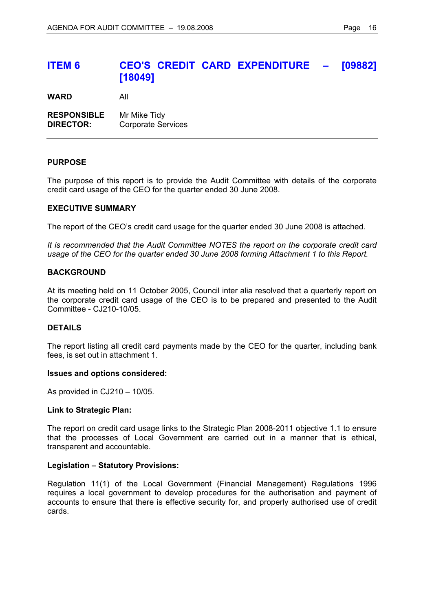### **ITEM 6 CEO'S CREDIT CARD EXPENDITURE – [09882] [18049]**

**WARD** All

**RESPONSIBLE** Mr Mike Tidy **DIRECTOR:** Corporate Services

#### **PURPOSE**

The purpose of this report is to provide the Audit Committee with details of the corporate credit card usage of the CEO for the quarter ended 30 June 2008.

#### **EXECUTIVE SUMMARY**

The report of the CEO's credit card usage for the quarter ended 30 June 2008 is attached.

*It is recommended that the Audit Committee NOTES the report on the corporate credit card usage of the CEO for the quarter ended 30 June 2008 forming Attachment 1 to this Report.* 

#### **BACKGROUND**

At its meeting held on 11 October 2005, Council inter alia resolved that a quarterly report on the corporate credit card usage of the CEO is to be prepared and presented to the Audit Committee - CJ210-10/05.

#### **DETAILS**

The report listing all credit card payments made by the CEO for the quarter, including bank fees, is set out in attachment 1.

#### **Issues and options considered:**

As provided in CJ210 – 10/05.

#### **Link to Strategic Plan:**

The report on credit card usage links to the Strategic Plan 2008-2011 objective 1.1 to ensure that the processes of Local Government are carried out in a manner that is ethical, transparent and accountable.

#### **Legislation – Statutory Provisions:**

Regulation 11(1) of the Local Government (Financial Management) Regulations 1996 requires a local government to develop procedures for the authorisation and payment of accounts to ensure that there is effective security for, and properly authorised use of credit cards.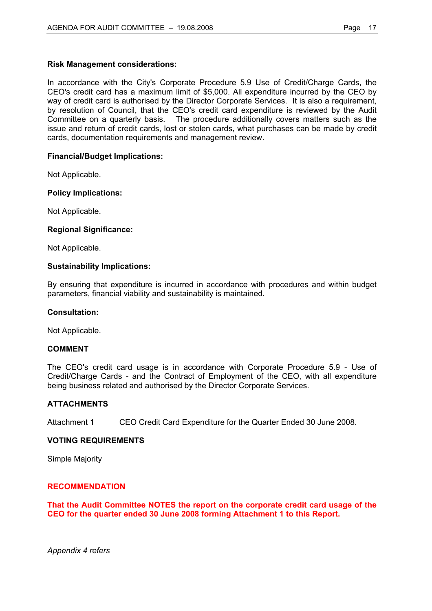#### **Risk Management considerations:**

In accordance with the City's Corporate Procedure 5.9 Use of Credit/Charge Cards, the CEO's credit card has a maximum limit of \$5,000. All expenditure incurred by the CEO by way of credit card is authorised by the Director Corporate Services. It is also a requirement, by resolution of Council, that the CEO's credit card expenditure is reviewed by the Audit Committee on a quarterly basis. The procedure additionally covers matters such as the issue and return of credit cards, lost or stolen cards, what purchases can be made by credit cards, documentation requirements and management review.

#### **Financial/Budget Implications:**

Not Applicable.

#### **Policy Implications:**

Not Applicable.

#### **Regional Significance:**

Not Applicable.

#### **Sustainability Implications:**

By ensuring that expenditure is incurred in accordance with procedures and within budget parameters, financial viability and sustainability is maintained.

#### **Consultation:**

Not Applicable.

#### **COMMENT**

The CEO's credit card usage is in accordance with Corporate Procedure 5.9 - Use of Credit/Charge Cards - and the Contract of Employment of the CEO, with all expenditure being business related and authorised by the Director Corporate Services.

#### **ATTACHMENTS**

Attachment 1 CEO Credit Card Expenditure for the Quarter Ended 30 June 2008.

#### **VOTING REQUIREMENTS**

Simple Majority

#### **RECOMMENDATION**

**That the Audit Committee NOTES the report on the corporate credit card usage of the CEO for the quarter ended 30 June 2008 forming Attachment 1 to this Report.** 

*Appendix 4 refers*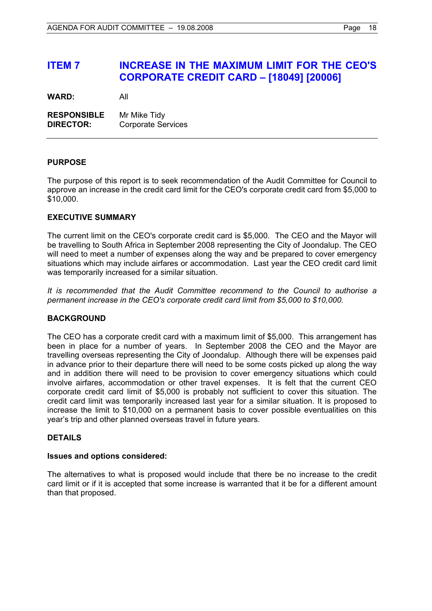### **ITEM 7 INCREASE IN THE MAXIMUM LIMIT FOR THE CEO'S CORPORATE CREDIT CARD – [18049] [20006]**

**WARD:** All

**RESPONSIBLE** Mr Mike Tidy **DIRECTOR:** Corporate Services

#### **PURPOSE**

The purpose of this report is to seek recommendation of the Audit Committee for Council to approve an increase in the credit card limit for the CEO's corporate credit card from \$5,000 to \$10,000.

#### **EXECUTIVE SUMMARY**

The current limit on the CEO's corporate credit card is \$5,000. The CEO and the Mayor will be travelling to South Africa in September 2008 representing the City of Joondalup. The CEO will need to meet a number of expenses along the way and be prepared to cover emergency situations which may include airfares or accommodation. Last year the CEO credit card limit was temporarily increased for a similar situation.

*It is recommended that the Audit Committee recommend to the Council to authorise a permanent increase in the CEO's corporate credit card limit from \$5,000 to \$10,000.* 

#### **BACKGROUND**

The CEO has a corporate credit card with a maximum limit of \$5,000. This arrangement has been in place for a number of years. In September 2008 the CEO and the Mayor are travelling overseas representing the City of Joondalup. Although there will be expenses paid in advance prior to their departure there will need to be some costs picked up along the way and in addition there will need to be provision to cover emergency situations which could involve airfares, accommodation or other travel expenses. It is felt that the current CEO corporate credit card limit of \$5,000 is probably not sufficient to cover this situation. The credit card limit was temporarily increased last year for a similar situation. It is proposed to increase the limit to \$10,000 on a permanent basis to cover possible eventualities on this year's trip and other planned overseas travel in future years.

#### **DETAILS**

#### **Issues and options considered:**

The alternatives to what is proposed would include that there be no increase to the credit card limit or if it is accepted that some increase is warranted that it be for a different amount than that proposed.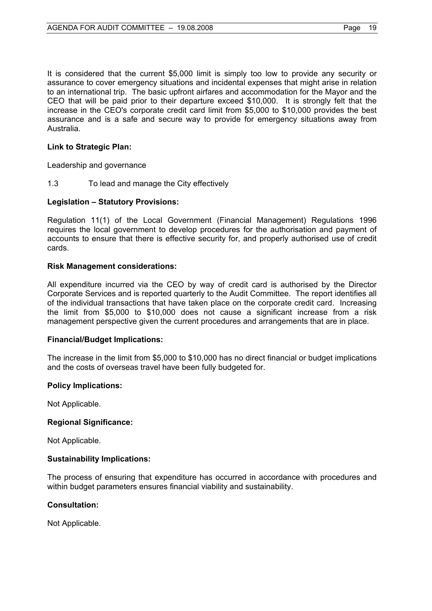It is considered that the current \$5,000 limit is simply too low to provide any security or assurance to cover emergency situations and incidental expenses that might arise in relation to an international trip. The basic upfront airfares and accommodation for the Mayor and the CEO that will be paid prior to their departure exceed \$10,000. It is strongly felt that the increase in the CEO's corporate credit card limit from \$5,000 to \$10,000 provides the best assurance and is a safe and secure way to provide for emergency situations away from Australia.

#### **Link to Strategic Plan:**

Leadership and governance

1.3 To lead and manage the City effectively

#### **Legislation – Statutory Provisions:**

Regulation 11(1) of the Local Government (Financial Management) Regulations 1996 requires the local government to develop procedures for the authorisation and payment of accounts to ensure that there is effective security for, and properly authorised use of credit cards.

#### **Risk Management considerations:**

All expenditure incurred via the CEO by way of credit card is authorised by the Director Corporate Services and is reported quarterly to the Audit Committee. The report identifies all of the individual transactions that have taken place on the corporate credit card. Increasing the limit from \$5,000 to \$10,000 does not cause a significant increase from a risk management perspective given the current procedures and arrangements that are in place.

#### **Financial/Budget Implications:**

The increase in the limit from \$5,000 to \$10,000 has no direct financial or budget implications and the costs of overseas travel have been fully budgeted for.

#### **Policy Implications:**

Not Applicable.

#### **Regional Significance:**

Not Applicable.

#### **Sustainability Implications:**

The process of ensuring that expenditure has occurred in accordance with procedures and within budget parameters ensures financial viability and sustainability.

#### **Consultation:**

Not Applicable.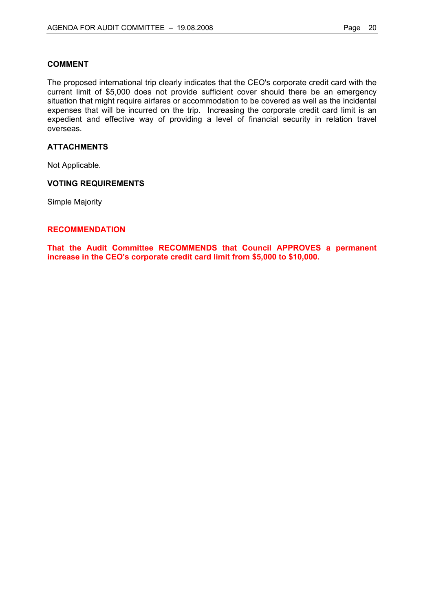#### **COMMENT**

The proposed international trip clearly indicates that the CEO's corporate credit card with the current limit of \$5,000 does not provide sufficient cover should there be an emergency situation that might require airfares or accommodation to be covered as well as the incidental expenses that will be incurred on the trip. Increasing the corporate credit card limit is an expedient and effective way of providing a level of financial security in relation travel overseas.

#### **ATTACHMENTS**

Not Applicable.

#### **VOTING REQUIREMENTS**

Simple Majority

#### **RECOMMENDATION**

**That the Audit Committee RECOMMENDS that Council APPROVES a permanent increase in the CEO's corporate credit card limit from \$5,000 to \$10,000.**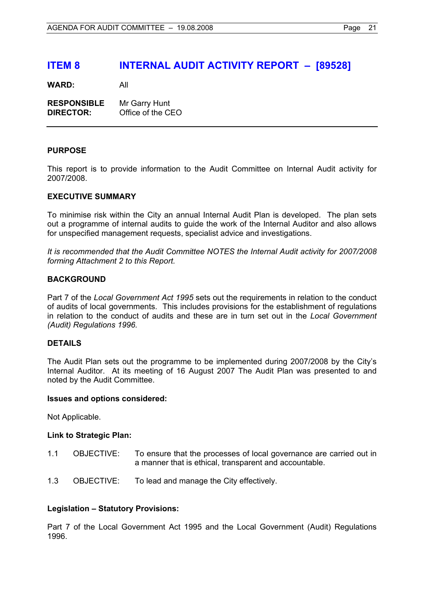### **ITEM 8 INTERNAL AUDIT ACTIVITY REPORT – [89528]**

**WARD:** All

| <b>RESPONSIBLE</b> | Mr Garry Hunt     |
|--------------------|-------------------|
| <b>DIRECTOR:</b>   | Office of the CEO |

#### **PURPOSE**

This report is to provide information to the Audit Committee on Internal Audit activity for 2007/2008.

#### **EXECUTIVE SUMMARY**

To minimise risk within the City an annual Internal Audit Plan is developed. The plan sets out a programme of internal audits to guide the work of the Internal Auditor and also allows for unspecified management requests, specialist advice and investigations.

*It is recommended that the Audit Committee NOTES the Internal Audit activity for 2007/2008 forming Attachment 2 to this Report.* 

#### **BACKGROUND**

Part 7 of the *Local Government Act 1995* sets out the requirements in relation to the conduct of audits of local governments. This includes provisions for the establishment of regulations in relation to the conduct of audits and these are in turn set out in the *Local Government (Audit) Regulations 1996.* 

#### **DETAILS**

The Audit Plan sets out the programme to be implemented during 2007/2008 by the City's Internal Auditor. At its meeting of 16 August 2007 The Audit Plan was presented to and noted by the Audit Committee.

#### **Issues and options considered:**

Not Applicable.

#### **Link to Strategic Plan:**

- 1.1 OBJECTIVE: To ensure that the processes of local governance are carried out in a manner that is ethical, transparent and accountable.
- 1.3 OBJECTIVE: To lead and manage the City effectively.

#### **Legislation – Statutory Provisions:**

Part 7 of the Local Government Act 1995 and the Local Government (Audit) Regulations 1996.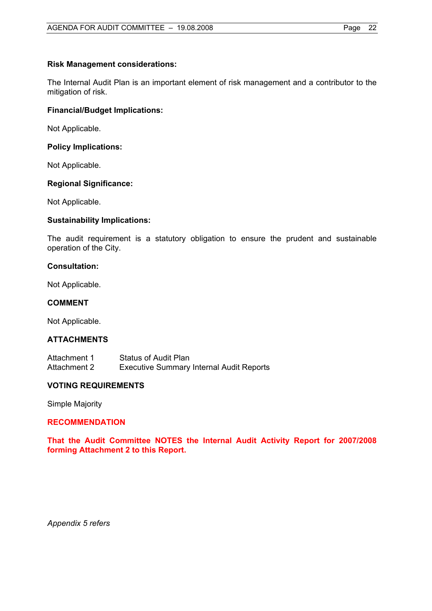#### **Risk Management considerations:**

The Internal Audit Plan is an important element of risk management and a contributor to the mitigation of risk.

#### **Financial/Budget Implications:**

Not Applicable.

#### **Policy Implications:**

Not Applicable.

#### **Regional Significance:**

Not Applicable.

#### **Sustainability Implications:**

The audit requirement is a statutory obligation to ensure the prudent and sustainable operation of the City.

#### **Consultation:**

Not Applicable.

#### **COMMENT**

Not Applicable.

#### **ATTACHMENTS**

| Attachment 1 | Status of Audit Plan                            |
|--------------|-------------------------------------------------|
| Attachment 2 | <b>Executive Summary Internal Audit Reports</b> |

#### **VOTING REQUIREMENTS**

Simple Majority

#### **RECOMMENDATION**

**That the Audit Committee NOTES the Internal Audit Activity Report for 2007/2008 forming Attachment 2 to this Report.** 

*Appendix 5 refers*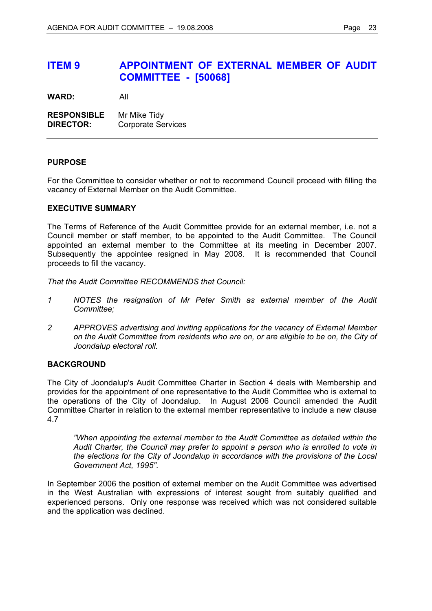### **ITEM 9 APPOINTMENT OF EXTERNAL MEMBER OF AUDIT COMMITTEE - [50068]**

**WARD:** All

**RESPONSIBLE** Mr Mike Tidy **DIRECTOR:** Corporate Services

#### **PURPOSE**

For the Committee to consider whether or not to recommend Council proceed with filling the vacancy of External Member on the Audit Committee.

#### **EXECUTIVE SUMMARY**

The Terms of Reference of the Audit Committee provide for an external member, i.e. not a Council member or staff member, to be appointed to the Audit Committee. The Council appointed an external member to the Committee at its meeting in December 2007. Subsequently the appointee resigned in May 2008. It is recommended that Council proceeds to fill the vacancy.

*That the Audit Committee RECOMMENDS that Council:* 

- *1 NOTES the resignation of Mr Peter Smith as external member of the Audit Committee;*
- *2 APPROVES advertising and inviting applications for the vacancy of External Member on the Audit Committee from residents who are on, or are eligible to be on, the City of Joondalup electoral roll.*

#### **BACKGROUND**

The City of Joondalup's Audit Committee Charter in Section 4 deals with Membership and provides for the appointment of one representative to the Audit Committee who is external to the operations of the City of Joondalup. In August 2006 Council amended the Audit Committee Charter in relation to the external member representative to include a new clause 4.7

*"When appointing the external member to the Audit Committee as detailed within the Audit Charter, the Council may prefer to appoint a person who is enrolled to vote in the elections for the City of Joondalup in accordance with the provisions of the Local Government Act, 1995".* 

In September 2006 the position of external member on the Audit Committee was advertised in the West Australian with expressions of interest sought from suitably qualified and experienced persons. Only one response was received which was not considered suitable and the application was declined.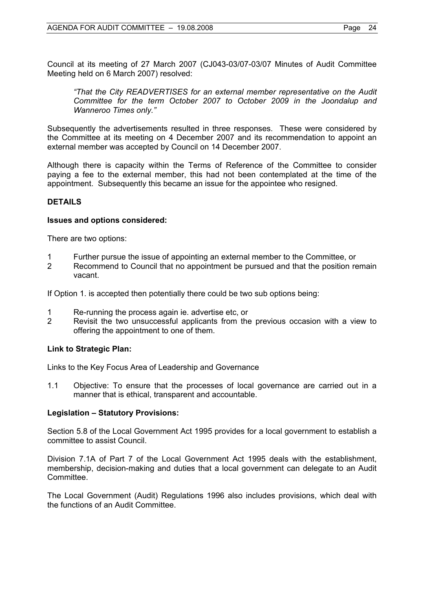Council at its meeting of 27 March 2007 (CJ043-03/07-03/07 Minutes of Audit Committee Meeting held on 6 March 2007) resolved:

*"That the City READVERTISES for an external member representative on the Audit Committee for the term October 2007 to October 2009 in the Joondalup and Wanneroo Times only."*

Subsequently the advertisements resulted in three responses. These were considered by the Committee at its meeting on 4 December 2007 and its recommendation to appoint an external member was accepted by Council on 14 December 2007.

Although there is capacity within the Terms of Reference of the Committee to consider paying a fee to the external member, this had not been contemplated at the time of the appointment. Subsequently this became an issue for the appointee who resigned.

#### **DETAILS**

#### **Issues and options considered:**

There are two options:

- 1 Further pursue the issue of appointing an external member to the Committee, or<br>2 Recommend to Council that no appointment be pursued and that the position re
- Recommend to Council that no appointment be pursued and that the position remain vacant.

If Option 1. is accepted then potentially there could be two sub options being:

- 1 Re-running the process again ie. advertise etc, or
- 2 Revisit the two unsuccessful applicants from the previous occasion with a view to offering the appointment to one of them.

#### **Link to Strategic Plan:**

Links to the Key Focus Area of Leadership and Governance

1.1 Objective: To ensure that the processes of local governance are carried out in a manner that is ethical, transparent and accountable.

#### **Legislation – Statutory Provisions:**

Section 5.8 of the Local Government Act 1995 provides for a local government to establish a committee to assist Council.

Division 7.1A of Part 7 of the Local Government Act 1995 deals with the establishment, membership, decision-making and duties that a local government can delegate to an Audit Committee.

The Local Government (Audit) Regulations 1996 also includes provisions, which deal with the functions of an Audit Committee.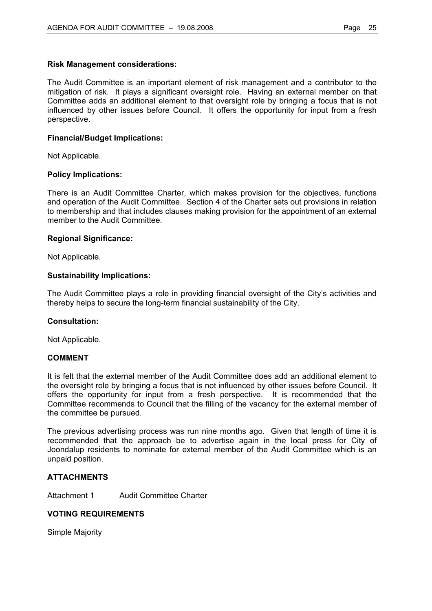#### **Risk Management considerations:**

The Audit Committee is an important element of risk management and a contributor to the mitigation of risk. It plays a significant oversight role. Having an external member on that Committee adds an additional element to that oversight role by bringing a focus that is not influenced by other issues before Council. It offers the opportunity for input from a fresh perspective.

#### **Financial/Budget Implications:**

Not Applicable.

#### **Policy Implications:**

There is an Audit Committee Charter, which makes provision for the objectives, functions and operation of the Audit Committee. Section 4 of the Charter sets out provisions in relation to membership and that includes clauses making provision for the appointment of an external member to the Audit Committee.

#### **Regional Significance:**

Not Applicable.

#### **Sustainability Implications:**

The Audit Committee plays a role in providing financial oversight of the City's activities and thereby helps to secure the long-term financial sustainability of the City.

#### **Consultation:**

Not Applicable.

#### **COMMENT**

It is felt that the external member of the Audit Committee does add an additional element to the oversight role by bringing a focus that is not influenced by other issues before Council. It offers the opportunity for input from a fresh perspective. It is recommended that the Committee recommends to Council that the filling of the vacancy for the external member of the committee be pursued.

The previous advertising process was run nine months ago. Given that length of time it is recommended that the approach be to advertise again in the local press for City of Joondalup residents to nominate for external member of the Audit Committee which is an unpaid position.

#### **ATTACHMENTS**

Attachment 1 Audit Committee Charter

#### **VOTING REQUIREMENTS**

Simple Majority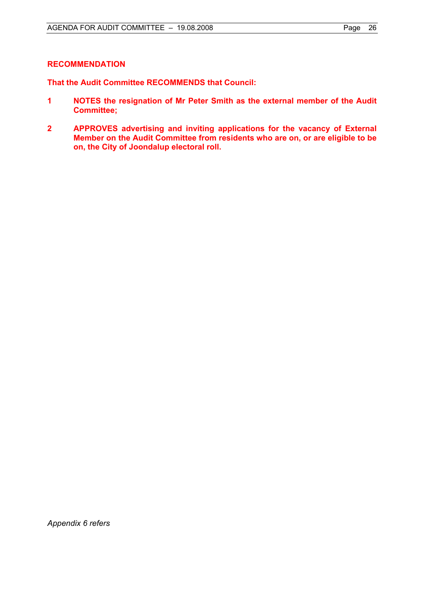#### **RECOMMENDATION**

**That the Audit Committee RECOMMENDS that Council:** 

- **1 NOTES the resignation of Mr Peter Smith as the external member of the Audit Committee;**
- **2 APPROVES advertising and inviting applications for the vacancy of External Member on the Audit Committee from residents who are on, or are eligible to be on, the City of Joondalup electoral roll.**

*Appendix 6 refers*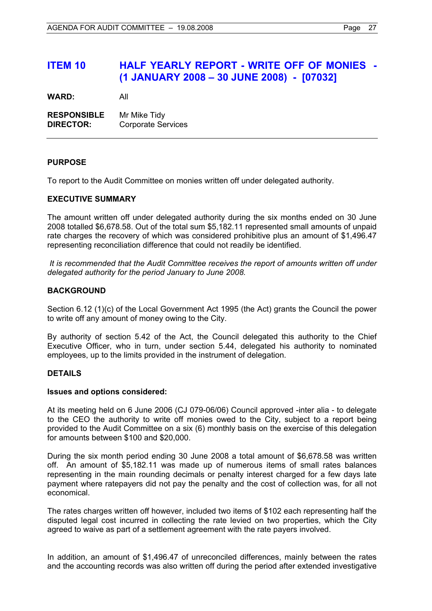### **ITEM 10 HALF YEARLY REPORT - WRITE OFF OF MONIES - (1 JANUARY 2008 – 30 JUNE 2008) - [07032]**

**WARD:** All

**RESPONSIBLE** Mr Mike Tidy **DIRECTOR:** Corporate Services

#### **PURPOSE**

To report to the Audit Committee on monies written off under delegated authority.

#### **EXECUTIVE SUMMARY**

The amount written off under delegated authority during the six months ended on 30 June 2008 totalled \$6,678.58. Out of the total sum \$5,182.11 represented small amounts of unpaid rate charges the recovery of which was considered prohibitive plus an amount of \$1,496.47 representing reconciliation difference that could not readily be identified.

 *It is recommended that the Audit Committee receives the report of amounts written off under delegated authority for the period January to June 2008.*

#### **BACKGROUND**

Section 6.12 (1)(c) of the Local Government Act 1995 (the Act) grants the Council the power to write off any amount of money owing to the City.

By authority of section 5.42 of the Act, the Council delegated this authority to the Chief Executive Officer, who in turn, under section 5.44, delegated his authority to nominated employees, up to the limits provided in the instrument of delegation.

#### **DETAILS**

#### **Issues and options considered:**

At its meeting held on 6 June 2006 (CJ 079-06/06) Council approved -inter alia - to delegate to the CEO the authority to write off monies owed to the City, subject to a report being provided to the Audit Committee on a six (6) monthly basis on the exercise of this delegation for amounts between \$100 and \$20,000.

During the six month period ending 30 June 2008 a total amount of \$6,678.58 was written off. An amount of \$5,182.11 was made up of numerous items of small rates balances representing in the main rounding decimals or penalty interest charged for a few days late payment where ratepayers did not pay the penalty and the cost of collection was, for all not economical.

The rates charges written off however, included two items of \$102 each representing half the disputed legal cost incurred in collecting the rate levied on two properties, which the City agreed to waive as part of a settlement agreement with the rate payers involved.

In addition, an amount of \$1,496.47 of unreconciled differences, mainly between the rates and the accounting records was also written off during the period after extended investigative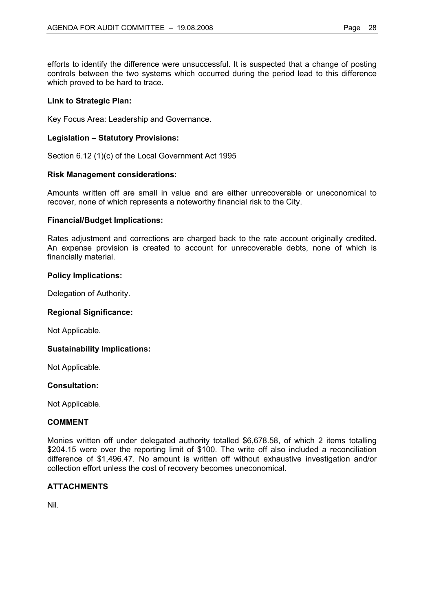efforts to identify the difference were unsuccessful. It is suspected that a change of posting controls between the two systems which occurred during the period lead to this difference which proved to be hard to trace.

#### **Link to Strategic Plan:**

Key Focus Area: Leadership and Governance.

#### **Legislation – Statutory Provisions:**

Section 6.12 (1)(c) of the Local Government Act 1995

#### **Risk Management considerations:**

Amounts written off are small in value and are either unrecoverable or uneconomical to recover, none of which represents a noteworthy financial risk to the City.

#### **Financial/Budget Implications:**

Rates adjustment and corrections are charged back to the rate account originally credited. An expense provision is created to account for unrecoverable debts, none of which is financially material.

#### **Policy Implications:**

Delegation of Authority.

#### **Regional Significance:**

Not Applicable.

#### **Sustainability Implications:**

Not Applicable.

#### **Consultation:**

Not Applicable.

#### **COMMENT**

Monies written off under delegated authority totalled \$6,678.58, of which 2 items totalling \$204.15 were over the reporting limit of \$100. The write off also included a reconciliation difference of \$1,496.47. No amount is written off without exhaustive investigation and/or collection effort unless the cost of recovery becomes uneconomical.

#### **ATTACHMENTS**

Nil.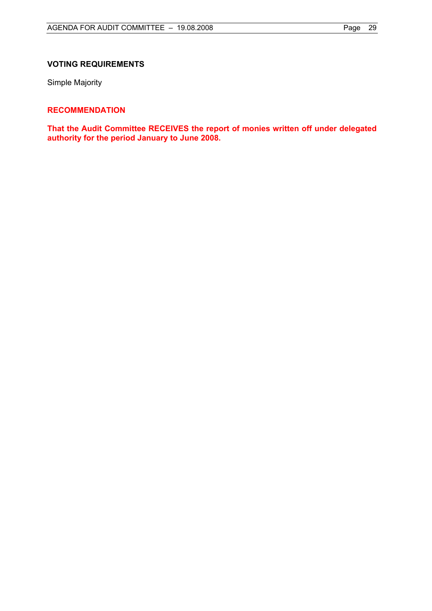#### **VOTING REQUIREMENTS**

Simple Majority

#### **RECOMMENDATION**

**That the Audit Committee RECEIVES the report of monies written off under delegated authority for the period January to June 2008.**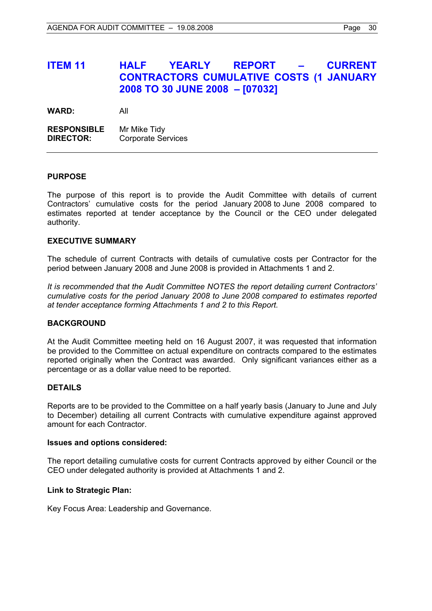### **ITEM 11 HALF YEARLY REPORT – CURRENT CONTRACTORS CUMULATIVE COSTS (1 JANUARY 2008 TO 30 JUNE 2008 – [07032]**

**WARD:** All

**RESPONSIBLE** Mr Mike Tidy **DIRECTOR:** Corporate Services

#### **PURPOSE**

The purpose of this report is to provide the Audit Committee with details of current Contractors' cumulative costs for the period January 2008 to June 2008 compared to estimates reported at tender acceptance by the Council or the CEO under delegated authority.

#### **EXECUTIVE SUMMARY**

The schedule of current Contracts with details of cumulative costs per Contractor for the period between January 2008 and June 2008 is provided in Attachments 1 and 2.

*It is recommended that the Audit Committee NOTES the report detailing current Contractors' cumulative costs for the period January 2008 to June 2008 compared to estimates reported at tender acceptance forming Attachments 1 and 2 to this Report.*

#### **BACKGROUND**

At the Audit Committee meeting held on 16 August 2007, it was requested that information be provided to the Committee on actual expenditure on contracts compared to the estimates reported originally when the Contract was awarded. Only significant variances either as a percentage or as a dollar value need to be reported.

### **DETAILS**

Reports are to be provided to the Committee on a half yearly basis (January to June and July to December) detailing all current Contracts with cumulative expenditure against approved amount for each Contractor.

#### **Issues and options considered:**

The report detailing cumulative costs for current Contracts approved by either Council or the CEO under delegated authority is provided at Attachments 1 and 2.

#### **Link to Strategic Plan:**

Key Focus Area: Leadership and Governance.